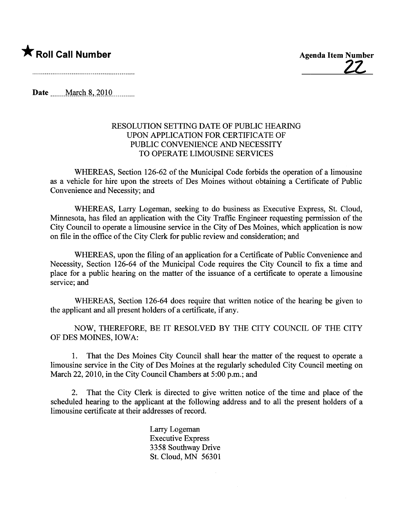**\*** Roll Call Number Agenda Item Number Agenda Item Number

Date  $March 8, 2010$ 

### RESOLUTION SETTING DATE OF PUBLIC HEARING UPON APPLICATION FOR CERTIFICATE OF PUBLIC CONVENIENCE AND NECESSITY TO OPERATE LIMOUSINE SERVICES

WHEREAS, Section 126-62 of the Municipal Code forbids the operation of a limousine as a vehicle for hire upon the streets of Des Moines without obtaining a Certificate of Public Convenience and Necessity; and

WHEREAS, Larry Logeman, seeking to do business as Executive Express, St. Cloud, Minnesota, has filed an application with the City Traffic Engineer requesting permission of the City Council to operate a limousine service in the City of Des Moines, which application is now on file in the office of the City Clerk for public review and consideration; and

WHEREAS, upon the filing of an application for a Certificate of Public Convenience and Necessity, Section 126-64 of the Municipal Code requires the City Council to fix a time and place for a public hearing on the matter of the issuance of a certificate to operate a limousine service; and

WHEREAS, Section 126-64 does require that written notice of the hearing be given to the applicant and all present holders of a certificate, if any.

NOW, THEREFORE, BE IT RESOLVED BY THE CITY COUNCIL OF THE CITY OF DES MOINES, IOWA:

1. That the Des Moines City Council shall hear' the matter of the request to operate a limousine service in the City of Des Moines at the regularly scheduled City Council meeting on March 22, 2010, in the City Council Chambers at 5:00 p.m.; and

2. That the City Clerk is directed to give wrtten notice of the time and place of the scheduled hearing to the applicant at the following address and to all the present holders of a limousine certificate at their addresses of record.

> Lary Logeman Executive Express 3358 Southway Drive St. Cloud, MN 56301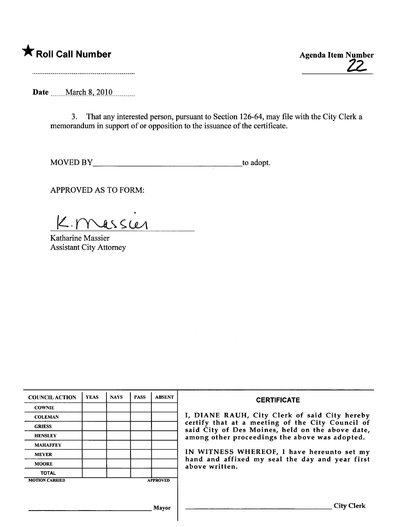### \* Roll Call Number Agenda Item Number

Z2

Date \_\_\_\_\_March 8, 2010 \_\_\_\_\_\_\_

3. That any interested person, pursuant to Section 126-64, may fie with the City Clerk a memorandum in support of or opposition to the issuance of the certificate.

MOVED BY to adopt.

APPROVED AS TO FORM:

K. messie

Katharine Massier Assistant City Attorney

| <b>COUNCIL ACTION</b> | <b>YEAS</b> | <b>NAYS</b> | <b>PASS</b> | <b>ABSENT</b>   | <b>CERTIFICATE</b>                                                                                   |
|-----------------------|-------------|-------------|-------------|-----------------|------------------------------------------------------------------------------------------------------|
| <b>COWNIE</b>         |             |             |             |                 |                                                                                                      |
| <b>COLEMAN</b>        |             |             |             |                 | I, DIANE RAUH, City Clerk of said City hereby                                                        |
| <b>GRIESS</b>         |             |             |             |                 | certify that at a meeting of the City Council of<br>said City of Des Moines, held on the above date, |
| <b>HENSLEY</b>        |             |             |             |                 | among other proceedings the above was adopted.                                                       |
| <b>MAHAFFEY</b>       |             |             |             |                 |                                                                                                      |
| <b>MEYER</b>          |             |             |             |                 | IN WITNESS WHEREOF, I have hereunto set my                                                           |
| <b>MOORE</b>          |             |             |             |                 | hand and affixed my seal the day and year first<br>above written.                                    |
| <b>TOTAL</b>          |             |             |             |                 |                                                                                                      |
| <b>MOTION CARRIED</b> |             |             |             | <b>APPROVED</b> |                                                                                                      |
|                       |             |             |             |                 |                                                                                                      |
|                       |             |             |             | Mayor           | <b>City Clerk</b>                                                                                    |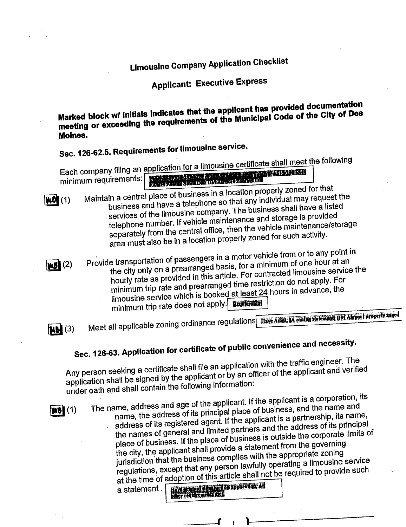### Limousine Company Application Checklist

### Applicant: Executive Express

Marked block w/ initials indicates that the applicant that I Code of the City of Des meeting or exceeding the requirements of the Municipal Code of the City of Des Moines.

Sec. 126-62.5. Requirements for limousine service.<br>Each company filing an application for a limousine certificate shall meet the following Each company inny an application for a limited certificate shall minimum requirements:

I and a central place of  $\mathsf{h}_1$ business in a location properly zoned for that business and have a telephone so that any individual may request the services of the limousine company. The business shall have a listed telephone number. If vehicle maintenance and storage is provided services of the limousine company. The business shall have a listed telephone number. If vehicle maintenance rehicle maintenance/st separately from the central office, then are vehicle for such activity. area must also be in a location properly zoned for such activity.

Provide transportation of passengers in a motor vehicle from or to any point in the city only on a prearranged basis, for a minimum of one hour at an hourly rate as provided in this article. For contracted limousine service the minimum trip rate and prearranged time restriction do not apply. For limousine service which is booked at least 24 hours in advance, the minimum trip rate does not apply. Benticated

**Nb** (3)

Sec. 126-63. Application for certification for certification for certification for certification for certification of the certification of the certification of the certification of the certification of the certification of

 $W5(2)$ 

Meet all applicable zoning ordinance regulations **IIW Affel IA zolle surrent DM Africa Property and** 

### public convenience and necessity.

Any person seeking a certificate shall file an application with the traffic engineer. The application shall be signed by the applicant or by an officer of the applicant and verified under oath and shall contain the following information:



The name, address and age of the applicant. If the applicant is a corporation, its<br>name, the address of its principal place of business, and the name and name, the address of its principal place of building and the spartnership, its name address of its registered agent. If the applicant the address of its principal the names of general and limited partners and the address of its principal place of business. If the place of business is outside the corporate limits of the city, the applicant shall provide a statement from the governing jurisdiction that the business complies with the appropriate zoning regulations, except that any person lawfully operating a limousine service at the time of adoption of this article shall not be required to provide such a statement .Pl11

r i-

'-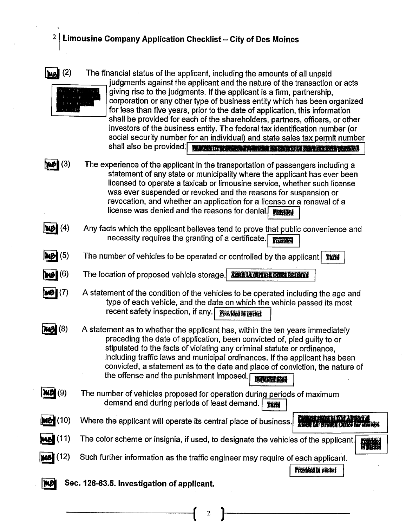### $2|1$  Limousine Company Application Checklist - City of Des Moines



 $\left[\text{Me}\right]$  (2) The financial status of the applicant, including the amounts of all unpaid judgments against the applicant and the nature of the transaction or acts giving rise to the judgments. If the applicant is a firm, partnership, corporation or any other type of business entity which has been organized for less than five years, prior to the date of application, this information shall be provided for each of the shareholders, partners, officers, or other investors of the business entity. The federal tax identification number (or social security number for an individual) and state sales tax permit number shall also be provided. **The risk providers of the state of a state of the provide** 

 $\mathcal{H}$  (3)

The experience of the applicant in the transportation of passengers including a statement of any state or municipality where the applicant has ever been licensed to operate a taxicab or limousine service, whether such license was ever suspended or revoked and the reasons for suspension or revocation, and whether an application for a license or a renewal of a license was denied and the reasons for denial.

- $W(4)$ Any facts which the applicant believes tend to prove that public convenience and necessity requires the granting of a certificate., ~ I
- $M(5)$ The number of vehicles to be operated or controlled by the applicant. The
- $(6)$ The location of proposed vehicle storage. As LARM IN ORRECTED
- **imB|(7)** A statement of the condition of the vehicles to be operated including the age and type of each vehicle, and the date on which the vehicle passed its most recent safety inspection, if any. Fronted In partel
- $mg(8)$ A statement as to whether the applicant has, within the ten years immediately preceding the date of application, been convicted of, pled guilty to or stipulated to the facts of violating any criminal statùte or ordinance, including traffic laws and municipal ordinances. If the applicant has been convicted, a statement as to the date and place of conviction, the nature of the offense and the punishment imposed. **In the solution of**
- $\mathcal{W}(\mathcal{Y})$ The number of vehicles proposed for operation during periods of maximum demand and during periods of least demand.  $\overline{\mathbf{n}}$ iti
- $M$   $(10)$ Where the applicant will operate its central place of business. **The rate of business** 
	- $(11)$ The color scheme or insignia, if used, to designate the vehicles of the applicant.<br>In Bilke
	- $(12)$ Such further information as the traffic engineer may require of each applicant.

**Provided In packet** 

### **WE Sec. 126-63.5. Investigation of applicant.**

 $\left( \begin{array}{cc} 2 \end{array} \right)$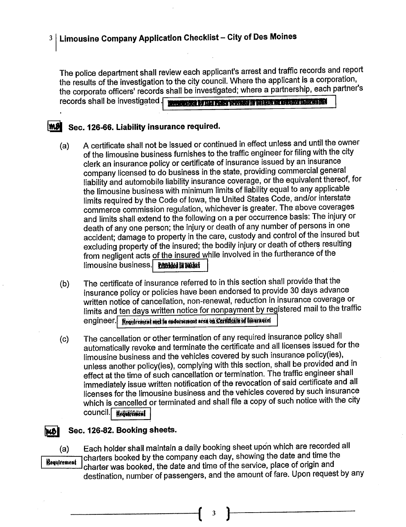### 3 | Limousine Company Application Checklist - City of Des Moines

The police department shall review each applicant's arrest and traffic records and report the results of the investigation to the city council. Where the applicant is a corporation, the corporate officers' records shall be investigated; where a partnership, each partner's MARKET COLLECTION TO BE TO WHAT IT WE CAN BE LETTER TO BE THE records shall be investigated.

### MI Sec. 126-66. Liability insurance required.

- A certificate shall not be issued or continued in effect unless and until the owner  $(a)$ of the limousine business furnishes to the traffic engineer for filing with the city clerk an insurance policy or certificate of insurance issued by an insurance company licensed to do business in the state, providing commercial general liability and automobile liability insurance coverage, or the equivalent thereof, for the limousine business with minimum limits of liability equal to any applicable limits required by the Code of Iowa, the United States Code, and/or interstate commerce commission regulation, whichever is greater. The above coverages and limits shall extend to the following on a per occurrence basis: The injury or death of any one person; the injury or death of any number of persons in one accident; damage to property in the care, custody and control of the insured but excluding property of the insured; the bodily injury or death of others resulting from negligent acts of the insured while involved in the furtherance of the limousine business. Problem in both
- The certificate of insurance referred to in this section shall provide that the  $(b)$ insurance policy or policies have been endorsed to provide 30 days advance written notice of cancellation, non-renewal, reduction in insurance coverage or limits and ten days written notice for nonpayment by registered mail to the traffic Requirement met in endorsement area on Certificate of Insurancel engineer.
- The cancellation or other termination of any required insurance policy shall  $(c)$ automatically revoke and terminate the certificate and all licenses issued for the limousine business and the vehicles covered by such insurance policy(ies), unless another policy(ies), complying with this section, shall be provided and in effect at the time of such cancellation or termination. The traffic engineer shall immediately issue written notification of the revocation of said certificate and all licenses for the limousine business and the vehicles covered by such insurance which is cancelled or terminated and shall file a copy of such notice with the city council. Requirement

### Sec. 126-82. Booking sheets.

IMBI

Each holder shall maintain a daily booking sheet upon which are recorded all  $(a)$ charters booked by the company each day, showing the date and time the **Requirement** charter was booked, the date and time of the service, place of origin and destination, number of passengers, and the amount of fare. Upon request by any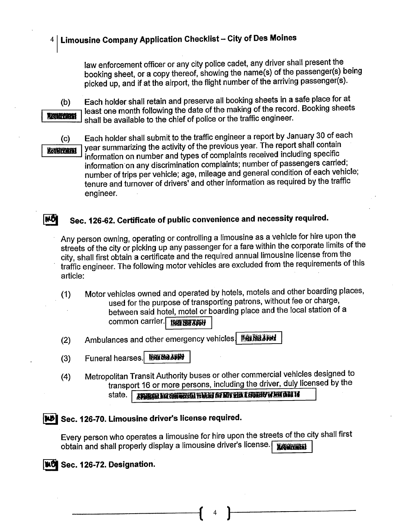### $4 \mid$  Limousine Company Application Checklist - City of Des Moines

law enforcement officer or any city police cadet, any driver shall present the booking sheet, or a copy thereof, showing the name(s) of the passenger(s) being picked up, and if at the airport, the flight number of the arriving passenger(s).

Radiffacit

I ... I

(b) Each holder shall retain and preserve all booking sheets in a safe place for at least one month following the date of the making of the record. Booking sheets . shall be available to the chief of police or the traffic engineer.

(c) Each holder shall submit to the traffic engineer a report by January 30 of each<br>start | year summarizing the activity of the previous year. The report shall contain Requirement year summarizing the activity of the previous year. The report shall contain<br>information on number and types of complaints received including specific information'on any discrimination complaints; number of passengers carried; number of trips per vehicle; age, mileage and general condition of each vehicle; tenure and turnover of drivers' and other information as required by the traffic engineer.

### $\blacksquare$  Sec. 126-62. Certificate of public convenience and necessity required.

Any person owning, operating or controllng a limousine as a vehicle for hire upon the streets of the city or picking up any passenger for a fare within the corporate limits of the city, shall first obtain a certificate and the required annual limousine license from the traffic engineer. The following motor vehicles are excluded from the requirements of this article:

- (1) Motor vehicles owned and operated by hotels, motels and other boarding places, used for the purpose of transporting patrons, without fee or charge, between said hotel, motel or boarding place and the local station of a common carrier. Be Not Apply
- (2) Ambulances and other emergency vehicles. DEENSIATED
- (3) Funeral hearses. **106 Not APPT**
- (4) Metropolitan Transit Authority buses or other commercial vehicles designed to transport 16 or more persons, including the driver, duly licensed by the state.  $\boxed{\phantom{\text{J3}^+}}$

### iNJ Sec. 126-70. Limousine driver's license required.

Every person who operates a limousine for hire upon the streets of the city shall first obtain and shall properly display a limousine driver's license. Recording

### I**NO** Sec. 126-72. Designation.

 $\mathfrak{l}$  )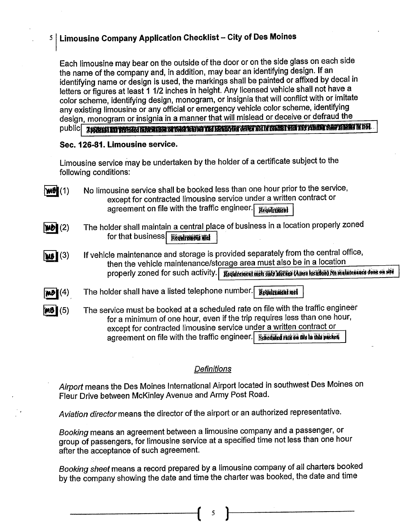### $5 \mid$  Limousine Company Application Checklist – City of Des Moines

Each limousine may bear on the outside of the door or on the side glass on each side the name of the company and, in addition, may bear an identifying design. If an identifying name or design is used, the markings shall be painted or affixed by decal in letters or figures at least 1 1/2 inches in height. Any licensed vehicle shall not have a color scheme, identifying design, monogram, or insignia that wil conflict with or imitate any existing limousine or any official or emergency vehicle color scheme, identifying<br>design, monogram or insignia in a manner that will mislead or deceive or defraud the public the monogram or internation of the public mislead or deceived of the public in a manner that will be publicit in DM.

### Sec. 126-81. limousine service.

I

Limousine service may be undertaken by the holder of a certificate subject to the following conditions:

- $W\mathbf{H}(1)$ No limousine service shall be booked less than one hour prior to the service, except for contracted limousine service under a written contract or agreement on file with the traffic engineer.  $\sqrt{Re\omega\Gamma\epsilon\sin\theta}$
- $|\boldsymbol{\mathsf{W}}\boldsymbol{\mathsf{D}}|$   $(2)$ The holder shall maintain a central place of business in a location properly zoned for that business  $\sqrt{R_{\rm 100}}$   $\frac{1}{R_{\rm 100}}$   $\frac{1}{R_{\rm 100}}$
- $W_6(3)$ If vehicle maintenance and storage is provided separately from the central office, then the vehicle maintenance/storage area must also be in a location properly zoned for such activity. We quite their only interest America that in maintenance done on site
- $|{\bf m}$ d $|$  $(4)$  , The holder shall have a listed telephone number. Requirement met
- $MO(5)$ The service must be booked at a scheduled rate on file with the traffic engineer for a minimum of one hour, even if the trip requires less than one hour, except for contracted limousine service under a written contract or agreement on file with the traffic engineer. **Scheduled rate on the in this packet**

### **Definitions**

Airport means the Des Moines International Airport located in southwest Des Moines on Fleur Drive between McKinley Avenue and Army Post Road.

Aviation director means the director of the airport or an authorized representative.

Booking means an agreement between a limousine company and a passenger, or group of passengers, for limousine service at a specified time not less than one hour after the acceptance of such agreement.

Booking sheet means a record prepared by a limousine company of all charters booked by the company showing the date and time the charter was booked, the date and time

( <sup>5</sup> )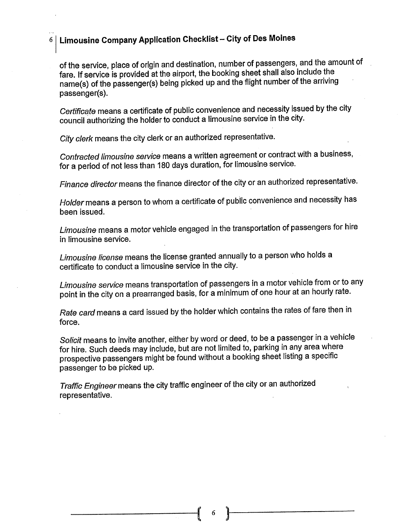### $6\,|\,$  Limousine Company Application Checklist – City of Des Moines

,',

of the service, place of origin and destination, number of passengers, and the amount of fare. If service is provided at the airport, the booking sheet shall also include the name(s) of the passenger(s) being picked up and the flight number of the arriving passenger(s).

Certificate means a certificate of public convenience and necessity issued by the city council authorizing the holder to conduct a limousine service in the city.

City clerk means the city clerk or an authorized representative.

Contracted limousine service means a written agreement or contract with a business, for a period of not less than 180 days duration, for limousine service.

Finance director means the finance director of the city or an authorized representative.

Holder means a person to whom a certificate of public convenience and necessity has been issued.

Limousine means a motor vehicle engaged in the transportation of passengers for hire in limousine service.

Limousine license means the license granted annually to a person who holds a certificate to conduct a limousine service in the city.

Limousine service means transportation of passengers in a motor vehicle from or to any point in the city on a prearranged basis, for a minimum of one hour at an hourly rate.

Rate card means a card issued by the holder which contains the rates of fare then in force.

Solicit means to invite another, either by word or deed, to be a passenger in a vehicle for hire. Such deeds may include, but are not limited to, parking in any area where prospective passengers might be found without a booking sheet listing a specific passenger to be picked up.

Traffic Engineer means the city traffic engineer of the city or an authorized representative.

 $\begin{pmatrix} 0 & 1 \\ 0 & 1 \end{pmatrix}$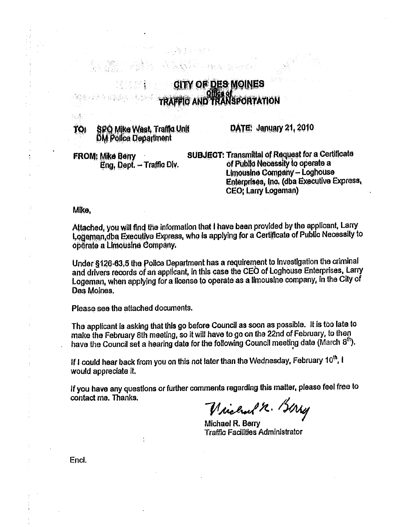### **GITY OF DES MOINES TRAFFIG AND TRANSPORTATION**

SPO Mike West, Traffic Unit TO. **DM Police Department** 

DATE: January 21, 2010

**FROM: Mike Berry** Eng, Dept. - Traffic Div. **SUBJECT: Transmittal of Request for a Certificate** of Public Necessity to operate a **Limousine Company - Loghouse** Enterprises, Inc. (dba Executive Express, **CEO: Larry Logeman)** 

Mike,

te A

Attached, you will find the information that I have been provided by the applicant, Larry Logeman, dba Executive Express, who is applying for a Certificate of Public Necessity to operate a Limousine Company.

Under §126-63,5 the Police Department has a requirement to investigation the criminal and drivers records of an applicant, in this case the CEO of Loghouse Enterprises, Larry Logeman, when applying for a license to operate as a limousine company, in the City of Des Moines.

Please see the attached documents.

The applicant is asking that this go before Council as soon as possible. It is too late to make the February 8th meeting, so it will have to go on the 22nd of February, to then have the Council set a hearing date for the following Council meeting date (March 8th).

If I could hear back from you on this not later than the Wednesday, February 10<sup>th</sup>, I would appreciate it.

If you have any questions or further comments regarding this matter, please feel free to contact me. Thanks.

Vicent R. Birry

Michael R. Berry **Traffic Facilities Administrator** 

Encl.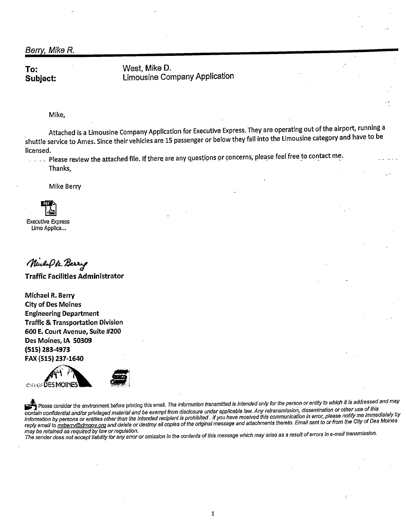Berry, Mike R.

To: Subject: West, Mike D. Limousine Company Application

Mike,

Attached is a Limousine Company Application for Executive Express. They are operating out ofthe airport, running a shuttle service to Ames. Since their vehicles are 15 passenger or below they fall into the Limousine category and have to be licensed.

- '

Please review the attached file. If there are any questions or concerns, please feel free to contact me. Thanks,

Mike Berry

**im** Executive Express Limo Applica...

Newlips. Berry

Traffic Facilities Administrator

Michael R. Berry City of Des Moines Engineering Department Traffic & Transportation Division 600 E. Court Avenue, Suite #200 Des Moines, IA 50309 (515) 283-4973 FAX (515) 237-1640





contain confidential and/or privileged material and be exempt from disclosure under applicable law. Any retransmission, dissemination or other use of this<br>contain confidential and/or privileged material and be exempt from information by persons or entities other than the intended recipient is prohibited. If you have received this communication in error, please notify me immediately by reply email to mrberry@dmgov.org and delete or destroy all copies of the original message and attachments thereto. Email sent to or from the City of Des Moines may be retained as required by law or regulation.

The sender does not accept liability for any error or omission in the contents of this message which may arise as a result of errors in e-mail transmission.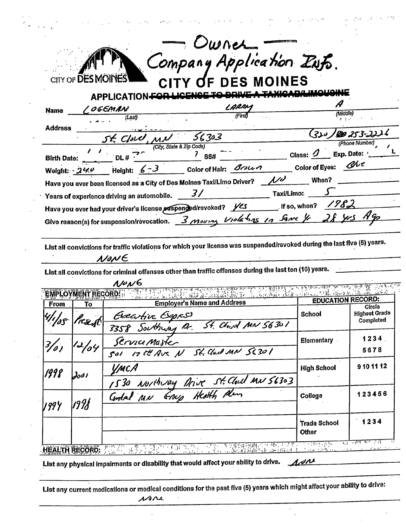|                                              |                    | <b>APPLICATION-FO</b>                                                          | Company Application Zufs.<br>CITY OF DES MOINES                                                                          |                                        |                                                                |
|----------------------------------------------|--------------------|--------------------------------------------------------------------------------|--------------------------------------------------------------------------------------------------------------------------|----------------------------------------|----------------------------------------------------------------|
| <b>Name</b>                                  |                    | / OGEMAN                                                                       | LARRY                                                                                                                    |                                        |                                                                |
|                                              |                    | (Last)                                                                         | <b>First</b>                                                                                                             | (Middle)                               |                                                                |
| <b>Address</b>                               |                    | St. Cloud, MN 56303                                                            |                                                                                                                          |                                        | (3) = 199 253-222 .                                            |
|                                              |                    |                                                                                |                                                                                                                          |                                        | (Phone Number)                                                 |
|                                              |                    | Birth Date: $\overline{OLH}$ $DL \#$ $2\sqrt{CIH}$ $2\sqrt{CIH}$ $2\sqrt{CIH}$ | $7$ SS# $7$ Class: $9$ Exp. Date:                                                                                        |                                        |                                                                |
|                                              |                    |                                                                                | Weight: $240$ Height: $6-3$ Color of Hair: $\mathcal{B}$<br>Color of Eyes: $\mathcal{B}$                                 |                                        |                                                                |
|                                              |                    |                                                                                |                                                                                                                          |                                        |                                                                |
|                                              |                    | Years of experience driving an automobile. ________________                    |                                                                                                                          | $\frac{1}{2}$ Taxi/Limo: $\frac{1}{2}$ |                                                                |
|                                              |                    |                                                                                | Have you ever had your driver's license auspended/revoked? yes _________ If so, when? 1982                               |                                        |                                                                |
|                                              |                    |                                                                                | Give reason(s) for suspension/revocation. 3 moving Violating in Same y 28 yrs Ago                                        |                                        |                                                                |
|                                              |                    | NONE                                                                           | List all convictions for traffic violations for which your license was suspended/revoked during the last five (5) years. |                                        |                                                                |
|                                              |                    | $\Lambda/\nu\Lambda$                                                           | List all convictions for criminal offenses other than traffic offenses during the last ten (10) years.                   |                                        |                                                                |
|                                              | EMPLOYMENT RECORD: |                                                                                | 高石 的复数化唐梅 经转换 化硅化氢                                                                                                       | <b>EDUCATION RECORD:</b>               |                                                                |
|                                              | To                 |                                                                                | <b>Employer's Name and Address</b>                                                                                       |                                        | Circle                                                         |
|                                              | ree d              |                                                                                |                                                                                                                          | School                                 |                                                                |
|                                              |                    | Geative Espas                                                                  | St. Church MN 56301                                                                                                      |                                        |                                                                |
|                                              | 12/04              | Service Master                                                                 |                                                                                                                          | <b>Elementary</b>                      | 5678                                                           |
|                                              |                    |                                                                                | SOL 17 to Ave N St. Clark MN 56301                                                                                       |                                        |                                                                |
|                                              | $J_0$ s I          | УмсА                                                                           |                                                                                                                          | <b>High School</b>                     |                                                                |
|                                              |                    |                                                                                |                                                                                                                          |                                        |                                                                |
|                                              |                    |                                                                                | 1530 North Jay Drive St. Cloud MN 56303                                                                                  | College                                |                                                                |
| <b>From</b><br>$\frac{3}{2}$<br>1998<br>V99Y | 1998               |                                                                                |                                                                                                                          |                                        | <b>Highest Grade</b><br>Completed<br>1234<br>9101112<br>123456 |

 $\mathcal{L}^{\mathcal{L}}$  . The properties of the  $\mathcal{L}^{\mathcal{L}}$ 

 $\mathcal{L}^{\text{max}}$ 

 $\sim 10^{11}$ 

 $\mathcal{L}$ 

 $\mathcal{L}_{\mathcal{A}}(\mathcal{L},\mathcal{A},\mathcal{A},\mathcal{A})$ 

 $\sim$   $\sim$ 

List any physical impairments or disability that would affect your ability to drive.  $\mathcal{A}^{\mathcal{A}^{\prime\prime}}$  $\mathcal{A}$ 

 $\overline{\phantom{a}}$ 

 $\langle \cdot \rangle$  $\mathbf{r}$ 

 $\mathcal{O}_{\mathcal{M}}(\mathcal{O}_{\mathcal{M}})$  . The constraints of the constant of  $\mathcal{O}_{\mathcal{M}}$  ,  $\mathcal{O}_{\mathcal{M}}(\mathcal{O}_{\mathcal{M}})$ 

List any current medications or medical conditions for the past five (5) years which might affect your ability to drive:  $\n 16\n 12\n$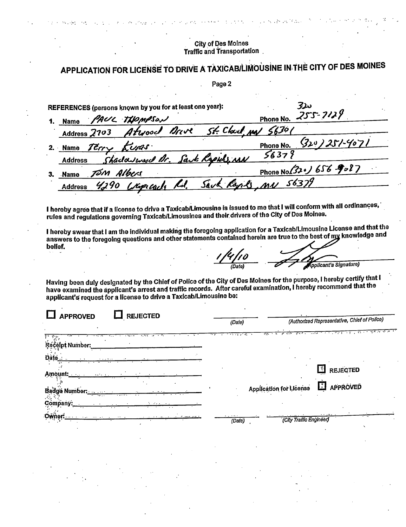### **City of Des Moines Traffic and Transportation**

APPLICATION FOR LICENSE TO DRIVE A TAXICAB/LIMOUSINE IN THE CITY OF DES MOINES

Page 2

| REFERENCES (persons known by you for at least one year): | ىنىز                                  |
|----------------------------------------------------------|---------------------------------------|
| PAUL THOMPSON<br>1. Name                                 | Phone No. 255-7129                    |
| Address 2703 Atwood Drive St. Clark May 56301            |                                       |
| 2. Name Terry Lunas.                                     | $(320)251-4071$<br>Phone No.          |
| Shadoward Dr. Sank Rapids MN<br><b>Address</b>           | 56379                                 |
| Jóm Albers<br><b>Name</b>                                | Phone No (320) 656 9087               |
| <b>Address</b>                                           | 4290 Wipscach Rd. Sack Raphs MN 56379 |
|                                                          |                                       |

I hereby agree that if a license to drive a Taxicab/Limousine is issued to me that I will conform with all ordinances, rules and regulations governing Taxicab/Limousines and their drivers of the City of Des Moines.

I hereby swear that I am the individual making the foregoing application for a Taxicab/Limousine License and that the answers to the foregoing questions and other statements contained herein are true to the best of my knowledge and belief.

Applicant's Signature)

Having been duly designated by the Chief of Police of the City of Des Moines for the purpose, I hereby certify that I have examined the applicant's arrest and traffic records. After careful examination, I hereby recommend that the applicant's request for a license to drive a Taxicab/Limousine be:

| <b>REJECTED</b><br><b>APPROVED</b> | (Authorized Representative, Chief of Police)<br>(Dafe)     |
|------------------------------------|------------------------------------------------------------|
|                                    | खितार बी क्रिकेट क्रिकेट अवस्थित महाराष्ट्र के साथ क्रिकेट |
| <b>Number:</b>                     |                                                            |
|                                    |                                                            |
| Amount:                            | REJECTED                                                   |
| Badge Number                       | Application for License <b>E</b> APPROVED                  |
| Company:                           |                                                            |
|                                    | (City Traffic Engineer)<br>(Date)                          |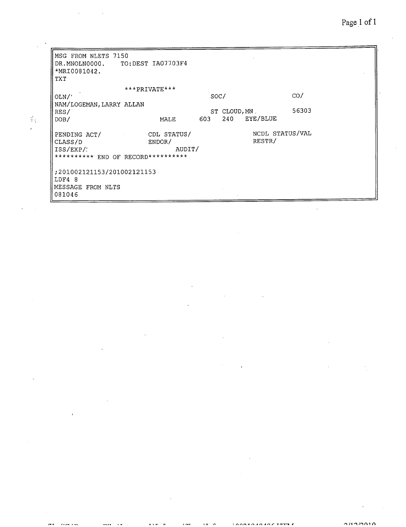| MSG FROM NLETS 7150                |                       |      |               |          |                 |  |  |
|------------------------------------|-----------------------|------|---------------|----------|-----------------|--|--|
| DR.MNOLN0000.                      | TO:DEST IA07703F4     |      |               |          |                 |  |  |
| *MRI0081042.                       |                       |      |               |          |                 |  |  |
| TXT                                |                       |      |               |          |                 |  |  |
|                                    | $***$ PRIVATE ***     |      |               |          |                 |  |  |
| $OLN$ /'                           |                       | SOC/ |               |          | CO/             |  |  |
| NAM/LOGEMAN, LARRY ALLAN           |                       |      |               |          |                 |  |  |
| RES/                               |                       |      | ST CLOUD, MN. |          | 56303           |  |  |
| DOB/                               | MALE                  | 603  | 240           | EYE/BLUE |                 |  |  |
|                                    |                       |      |               |          | NCDL STATUS/VAL |  |  |
| PENDING ACT/<br>CLASS/D            | CDL STATUS/<br>ENDOR/ |      |               | RESTR/   |                 |  |  |
|                                    |                       |      |               |          |                 |  |  |
|                                    | ISS/EXP/:<br>AUDIT/   |      |               |          |                 |  |  |
| ********** END OF RECORD********** |                       |      |               |          |                 |  |  |
| ;201002121153/201002121153         |                       |      |               |          |                 |  |  |
| LDF4 8                             |                       |      |               |          |                 |  |  |
| MESSAGE FROM NLTS                  |                       |      |               |          |                 |  |  |
| 081046                             |                       |      |               |          |                 |  |  |
|                                    |                       |      |               |          |                 |  |  |

 $\frac{d}{2} \frac{d}{2}$  $\frac{1}{2}$